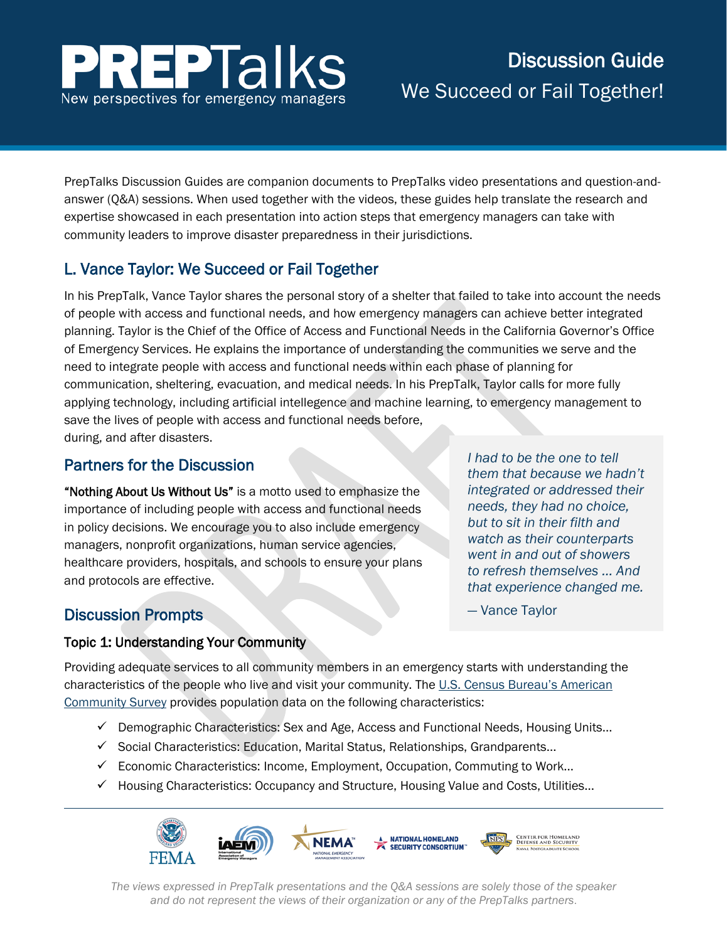

# Discussion Guide We Succeed or Fail Together!

PrepTalks Discussion Guides are companion documents to PrepTalks video presentations and question-andanswer (Q&A) sessions. When used together with the videos, these guides help translate the research and expertise showcased in each presentation into action steps that emergency managers can take with community leaders to improve disaster preparedness in their jurisdictions.

## L. Vance Taylor: We Succeed or Fail Together

In his PrepTalk, Vance Taylor shares the personal story of a shelter that failed to take into account the needs of people with access and functional needs, and how emergency managers can achieve better integrated planning. Taylor is the Chief of the Office of Access and Functional Needs in the California Governor's Office of Emergency Services. He explains the importance of understanding the communities we serve and the need to integrate people with access and functional needs within each phase of planning for communication, sheltering, evacuation, and medical needs. In his PrepTalk, Taylor calls for more fully applying technology, including artificial intellegence and machine learning, to emergency management to save the lives of people with access and functional needs before, during, and after disasters.

## Partners for the Discussion

"Nothing About Us Without Us" is a motto used to emphasize the importance of including people with access and functional needs in policy decisions. We encourage you to also include emergency managers, nonprofit organizations, human service agencies, healthcare providers, hospitals, and schools to ensure your plans and protocols are effective.

*I had to be the one to tell them that because we hadn't integrated or addressed their needs, they had no choice, but to sit in their filth and watch as their counterparts went in and out of showers to refresh themselves … And that experience changed me.* 

— Vance Taylor

## Discussion Prompts

#### Topic 1: Understanding Your Community

Providing adequate services to all community members in an emergency starts with understanding the characteristics of the people who live and visit your community. The [U.S. Census Bureau's American](https://www.census.gov/programs-surveys/acs/)  [Community Survey](https://www.census.gov/programs-surveys/acs/) provides population data on the following characteristics:

- $\checkmark$  Demographic Characteristics: Sex and Age, Access and Functional Needs, Housing Units...
- $\checkmark$  Social Characteristics: Education, Marital Status, Relationships, Grandparents...
- $\checkmark$  Economic Characteristics: Income, Employment, Occupation, Commuting to Work...
- $\checkmark$  Housing Characteristics: Occupancy and Structure, Housing Value and Costs, Utilities...



*The views expressed in PrepTalk presentations and the Q&A sessions are solely those of the speaker and do not represent the views of their organization or any of the PrepTalks partners*.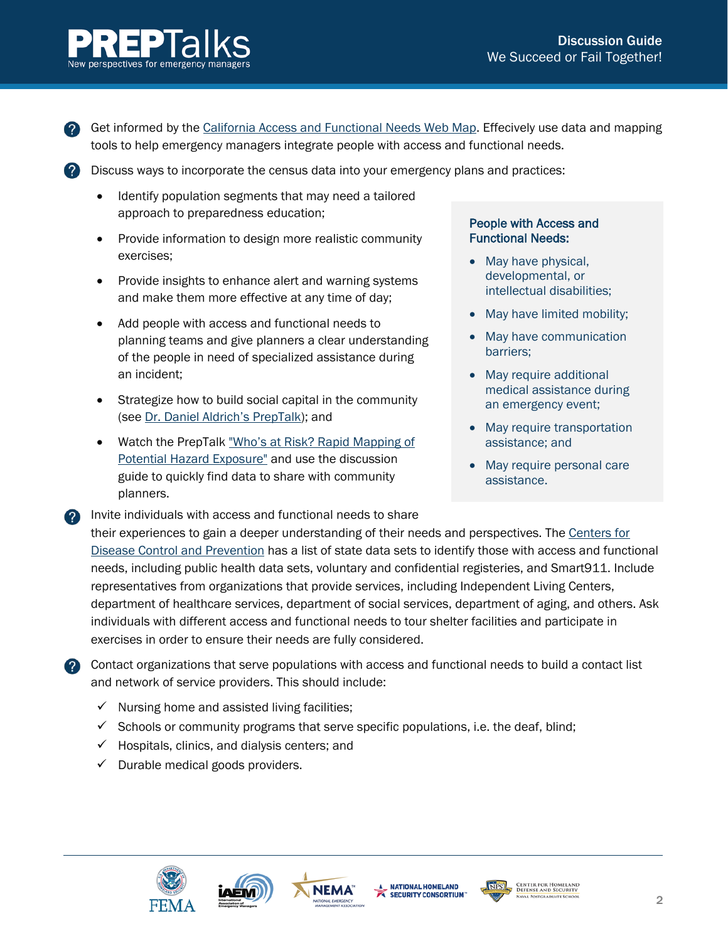

**2** Get informed by the [California Access and Functional Needs Web Map.](http://www.caloes.ca.gov/AccessFunctionalNeedsSite/Pages/OAFN-Web-Map.aspx) Effecively use data and mapping tools to help emergency managers integrate people with access and functional needs.

Discuss ways to incorporate the census data into your emergency plans and practices:

- Identify population segments that may need a tailored approach to preparedness education;
- Provide information to design more realistic community exercises;
- Provide insights to enhance alert and warning systems and make them more effective at any time of day;
- Add people with access and functional needs to planning teams and give planners a clear understanding of the people in need of specialized assistance during an incident;
- Strategize how to build social capital in the community (see [Dr. Daniel Aldrich's PrepTalk\)](https://www.fema.gov/preptalks/aldrich); and
- Watch the PrepTalk ["Who's at Risk? Rapid Mapping of](https://www.fema.gov/preptalks/chen) [Potential Hazard Exposure"](https://www.fema.gov/preptalks/chen) and use the discussion guide to quickly find data to share with community planners.

#### People with Access and Functional Needs:

- May have physical, developmental, or intellectual disabilities;
- May have limited mobility;
- May have communication barriers;
- May require additional medical assistance during an emergency event;
- May require transportation assistance; and
- May require personal care assistance.

Invite individuals with access and functional needs to share their experiences to gain a deeper understanding of their needs and perspectives. The [Centers for](https://www.cdc.gov/ncbddd/disabilityandhealth/emergency-monitoring.html)  [Disease Control and Prevention](https://www.cdc.gov/ncbddd/disabilityandhealth/emergency-monitoring.html) has a list of state data sets to identify those with access and functional needs, including public health data sets, voluntary and confidential registeries, and Smart911. Include representatives from organizations that provide services, including Independent Living Centers, department of healthcare services, department of social services, department of aging, and others. Ask individuals with different access and functional needs to tour shelter facilities and participate in exercises in order to ensure their needs are fully considered.

2 Contact organizations that serve populations with access and functional needs to build a contact list and network of service providers. This should include:

- $\checkmark$  Nursing home and assisted living facilities;
- $\checkmark$  Schools or community programs that serve specific populations, i.e. the deaf, blind;
- $\checkmark$  Hospitals, clinics, and dialysis centers; and
- $\checkmark$  Durable medical goods providers.







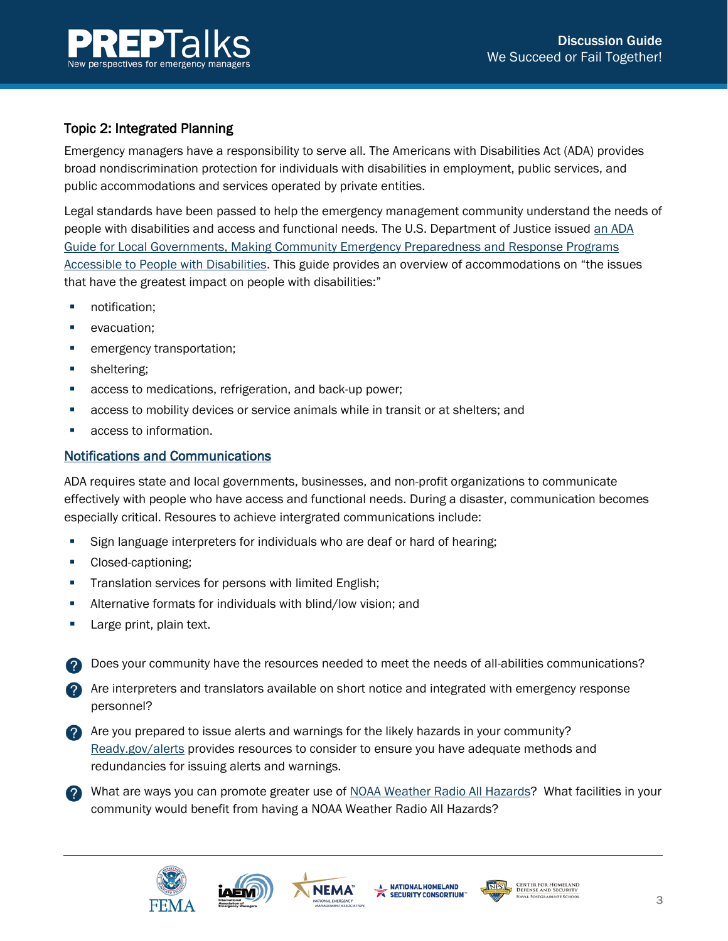



### Topic 2: Integrated Planning

Emergency managers have a responsibility to serve all. The Americans with Disabilities Act (ADA) provides broad nondiscrimination protection for individuals with disabilities in employment, public services, and public accommodations and services operated by private entities.

Legal standards have been passed to help the emergency management community understand the needs of people with disabilities and access and functional needs. The U.S. Department of Justice issued [an ADA](https://www.fema.gov/media-library/assets/documents/117463)  [Guide for Local Governments, Making Community Emergency Preparedness and Response Programs](https://www.fema.gov/media-library/assets/documents/117463)  [Accessible to People with Disabilities.](https://www.fema.gov/media-library/assets/documents/117463) This guide provides an overview of accommodations on "the issues that have the greatest impact on people with disabilities:"

- **notification;**
- **•** evacuation;
- **EXECUTE:** emergency transportation;
- **sheltering;**
- **access to medications, refrigeration, and back-up power;**
- access to mobility devices or service animals while in transit or at shelters; and
- access to information.

#### Notifications and Communications

ADA requires state and local governments, businesses, and non-profit organizations to communicate effectively with people who have access and functional needs. During a disaster, communication becomes especially critical. Resoures to achieve intergrated communications include:

- Sign language interpreters for individuals who are deaf or hard of hearing;
- Closed-captioning;
- **Translation services for persons with limited English;**
- Alternative formats for individuals with blind/low vision; and
- **Large print, plain text.**
- Does your community have the resources needed to meet the needs of all-abilities communications?
- Are interpreters and translators available on short notice and integrated with emergency response personnel?
- Are you prepared to issue alerts and warnings for the likely hazards in your community? [Ready.gov/alerts](https://www.ready.gov/alerts) provides resources to consider to ensure you have adequate methods and redundancies for issuing alerts and warnings.
- What are ways you can promote greater use of [NOAA Weather Radio All Hazards?](http://www.nws.noaa.gov/nwr/) What facilities in your community would benefit from having a NOAA Weather Radio All Hazards?







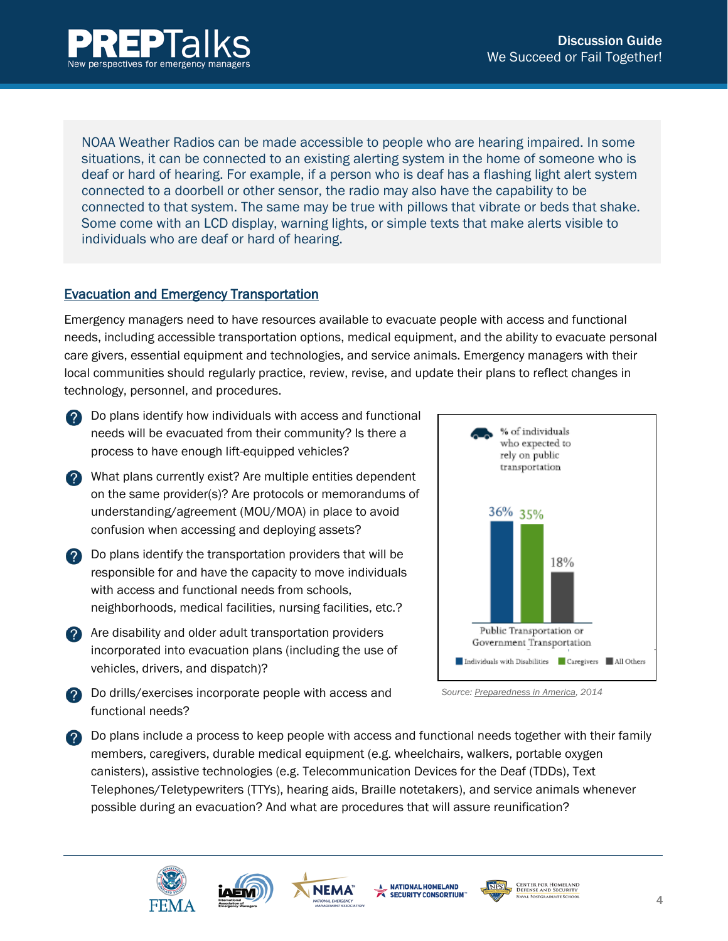

NOAA Weather Radios can be made accessible to people who are [hearing impaired.](http://www.nws.noaa.gov/nwr/special_need.htm) In some situations, it can be connected to an existing alerting system in the home of someone who is deaf or hard of hearing. For example, if a person who is deaf has a flashing light alert system connected to a doorbell or other sensor, the radio may also have the capability to be connected to that system. The same may be true with pillows that vibrate or beds that shake. Some come with an LCD display, warning lights, or simple texts that make alerts visible to individuals who are deaf or hard of hearing.

#### Evacuation and Emergency Transportation

Emergency managers need to have resources available to evacuate people with access and functional needs, including accessible transportation options, medical equipment, and the ability to evacuate personal care givers, essential equipment and technologies, and service animals. Emergency managers with their local communities should regularly practice, review, revise, and update their plans to reflect changes in technology, personnel, and procedures.

- **2** Do plans identify how individuals with access and functional needs will be evacuated from their community? Is there a process to have enough lift-equipped vehicles?
- **2** What plans currently exist? Are multiple entities dependent on the same provider(s)? Are protocols or memorandums of understanding/agreement (MOU/MOA) in place to avoid confusion when accessing and deploying assets?
- **2** Do plans identify the transportation providers that will be responsible for and have the capacity to move individuals with access and functional needs from schools. neighborhoods, medical facilities, nursing facilities, etc.?
- **2** Are disability and older adult transportation providers incorporated into evacuation plans (including the use of vehicles, drivers, and dispatch)?



**2** Do drills/exercises incorporate people with access and functional needs?

*[Source: Preparedness in America,](https://www.fema.gov/media-library-data/1409000888026-1e8abc820153a6c8cde24ce42c16e857/20140825_Preparedness%20in%20America_August%202014%20Update_508.pdf) 2014*

Do plans include a process to keep people with access and functional needs together with their family members, caregivers, durable medical equipment (e.g. wheelchairs, walkers, portable oxygen canisters), assistive technologies (e.g. Telecommunication Devices for the Deaf (TDDs), Text Telephones/Teletypewriters (TTYs), hearing aids, Braille notetakers), and service animals whenever possible during an evacuation? And what are procedures that will assure reunification?







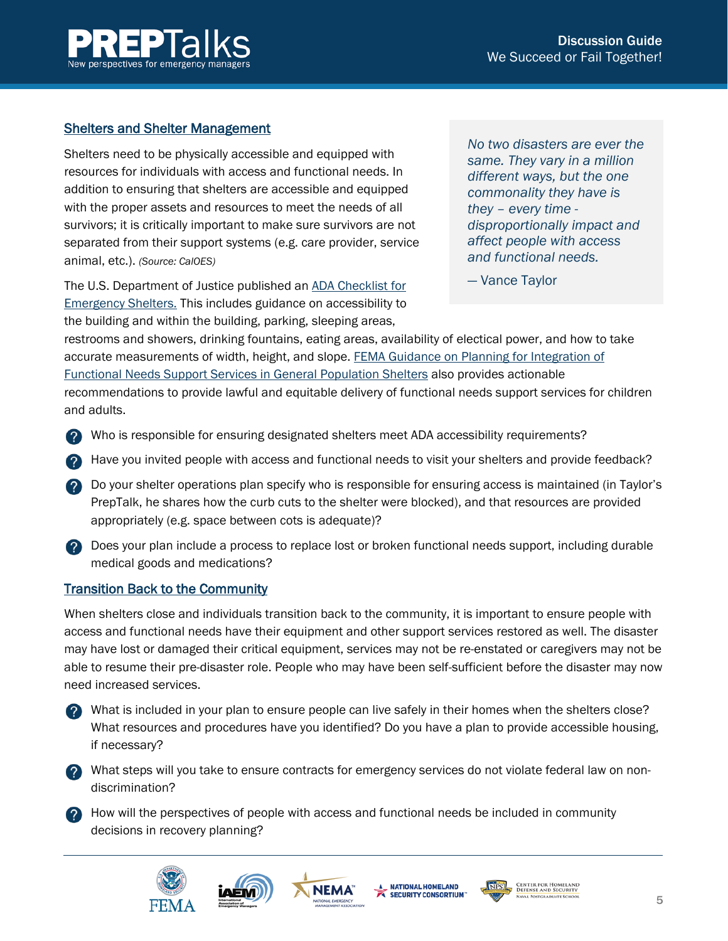

#### Shelters and Shelter Management

Shelters need to be physically accessible and equipped with resources for individuals with access and functional needs. In addition to ensuring that shelters are accessible and equipped with the proper assets and resources to meet the needs of all survivors; it is critically important to make sure survivors are not separated from their support systems (e.g. care provider, service animal, etc.). *(Source: CalOES)*

The U.S. Department of Justice published an [ADA Checklist for](https://www.ada.gov/shleterck.htm)  [Emergency Shelters.](https://www.ada.gov/shleterck.htm) This includes guidance on accessibility to the building and within the building, parking, sleeping areas,

*No two disasters are ever the same. They vary in a million different ways, but the one commonality they have is they – every time disproportionally impact and affect people with access and functional needs.*

— Vance Taylor

restrooms and showers, drinking fountains, eating areas, availability of electical power, and how to take accurate measurements of width, height, and slope. [FEMA Guidance on Planning for Integration of](https://www.fema.gov/media-library-data/20130726-1831-25045-7316/fnss_guidance.pdf)  [Functional Needs Support Services in General Population Shelters](https://www.fema.gov/media-library-data/20130726-1831-25045-7316/fnss_guidance.pdf) also provides actionable recommendations to provide lawful and equitable delivery of functional needs support services for children and adults.

- Who is responsible for ensuring designated shelters meet ADA accessibility requirements?
- Have you invited people with access and functional needs to visit your shelters and provide feedback?
- Do your shelter operations plan specify who is responsible for ensuring access is maintained (in Taylor's PrepTalk, he shares how the curb cuts to the shelter were blocked), and that resources are provided appropriately (e.g. space between cots is adequate)?
- 
- **2** Does your plan include a process to replace lost or broken functional needs support, including durable medical goods and medications?

#### Transition Back to the Community

When shelters close and individuals transition back to the community, it is important to ensure people with access and functional needs have their equipment and other support services restored as well. The disaster may have lost or damaged their critical equipment, services may not be re-enstated or caregivers may not be able to resume their pre-disaster role. People who may have been self-sufficient before the disaster may now need increased services.

- What is included in your plan to ensure people can live safely in their homes when the shelters close? What resources and procedures have you identified? Do you have a plan to provide accessible housing, if necessary?
- **2** What steps will you take to ensure contracts for emergency services do not violate federal law on nondiscrimination?
- **2** How will the perspectives of people with access and functional needs be included in community decisions in recovery planning?







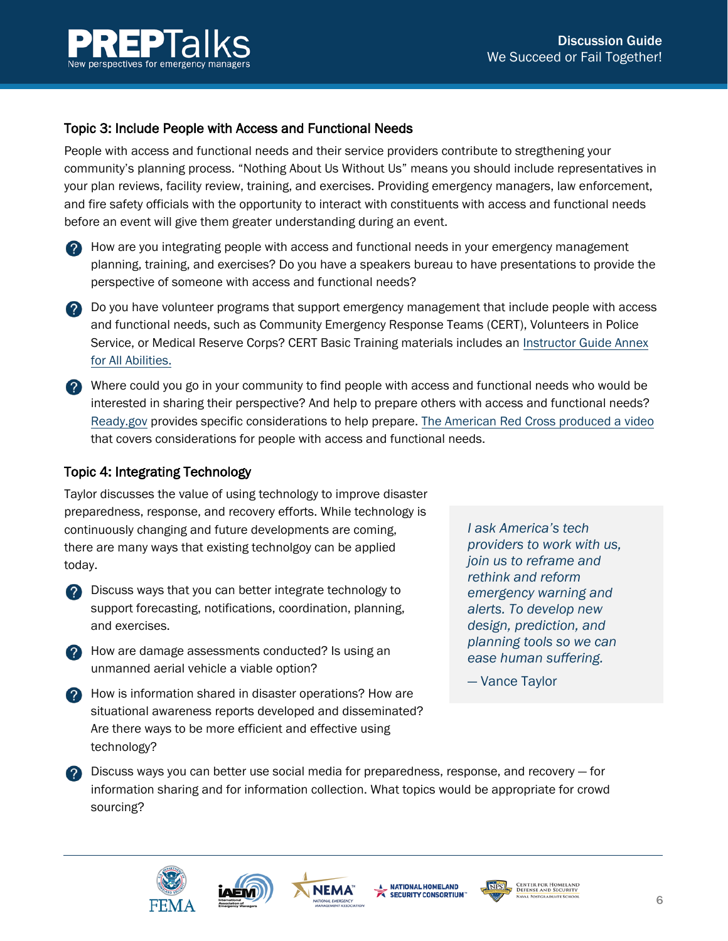

#### Topic 3: Include People with Access and Functional Needs

People with access and functional needs and their service providers contribute to stregthening your community's planning process. "Nothing About Us Without Us" means you should include representatives in your plan reviews, facility review, training, and exercises. Providing emergency managers, law enforcement, and fire safety officials with the opportunity to interact with constituents with access and functional needs before an event will give them greater understanding during an event.

- **2** How are you integrating people with access and functional needs in your emergency management planning, training, and exercises? Do you have a speakers bureau to have presentations to provide the perspective of someone with access and functional needs?
- **2** Do you have volunteer programs that support emergency management that include people with access and functional needs, such as Community Emergency Response Teams (CERT), Volunteers in Police Service, or Medical Reserve Corps? CERT Basic Training materials includes an [Instructor Guide Annex](https://www.fema.gov/media-library-data/1454700052408-12dde02fda68eb21ae006e1feb3e5111/CERT_annex_for_all_abilities_091615_508.pdf) [for All Abilities.](https://www.fema.gov/media-library-data/1454700052408-12dde02fda68eb21ae006e1feb3e5111/CERT_annex_for_all_abilities_091615_508.pdf)
- Where could you go in your community to find people with access and functional needs who would be interested in sharing their perspective? And help to prepare others with access and functional needs? [Ready.gov](https://www.ready.gov/individuals-access-functional-needs) provides specific considerations to help prepare. The American [Red Cross produced a video](https://www.youtube.com/watch?v=5SohEZviUGs) that covers considerations for people with access and functional needs.

#### Topic 4: Integrating Technology

Taylor discusses the value of using technology to improve disaster preparedness, response, and recovery efforts. While technology is continuously changing and future developments are coming, there are many ways that existing technolgoy can be applied today.

- **2** Discuss ways that you can better integrate technology to support forecasting, notifications, coordination, planning, and exercises.
- **2** How are damage assessments conducted? Is using an unmanned aerial vehicle a viable option?
- **2** How is information shared in disaster operations? How are situational awareness reports developed and disseminated? Are there ways to be more efficient and effective using technology?

*I ask America's tech providers to work with us, join us to reframe and rethink and reform emergency warning and alerts. To develop new design, prediction, and planning tools so we can ease human suffering.* 

— Vance Taylor

**2** Discuss ways you can better use social media for preparedness, response, and recovery – for information sharing and for information collection. What topics would be appropriate for crowd sourcing?